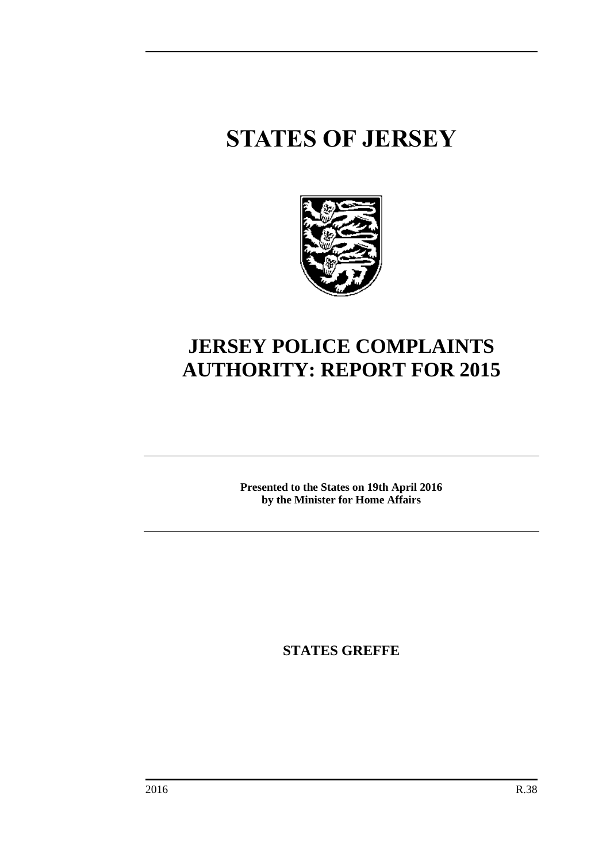# **STATES OF JERSEY**



# **JERSEY POLICE COMPLAINTS AUTHORITY: REPORT FOR 2015**

**Presented to the States on 19th April 2016 by the Minister for Home Affairs**

**STATES GREFFE**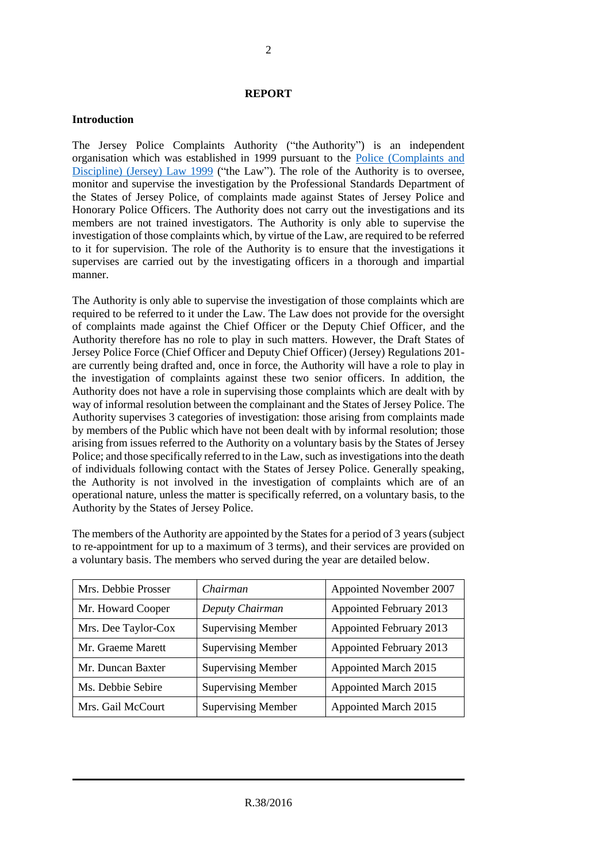#### **REPORT**

#### **Introduction**

The Jersey Police Complaints Authority ("the Authority") is an independent organisation which was established in 1999 pursuant to the [Police \(Complaints and](http://www.jerseylaw.je/Law/display.aspx?url=lawsinforce%2fconsolidated%2f23%2f23.325_Police(ComplaintsandDiscipline)Law1999_RevisedEdition_1January2015.htm)  [Discipline\) \(Jersey\) Law 1999](http://www.jerseylaw.je/Law/display.aspx?url=lawsinforce%2fconsolidated%2f23%2f23.325_Police(ComplaintsandDiscipline)Law1999_RevisedEdition_1January2015.htm) ("the Law"). The role of the Authority is to oversee, monitor and supervise the investigation by the Professional Standards Department of the States of Jersey Police, of complaints made against States of Jersey Police and Honorary Police Officers. The Authority does not carry out the investigations and its members are not trained investigators. The Authority is only able to supervise the investigation of those complaints which, by virtue of the Law, are required to be referred to it for supervision. The role of the Authority is to ensure that the investigations it supervises are carried out by the investigating officers in a thorough and impartial manner.

The Authority is only able to supervise the investigation of those complaints which are required to be referred to it under the Law. The Law does not provide for the oversight of complaints made against the Chief Officer or the Deputy Chief Officer, and the Authority therefore has no role to play in such matters. However, the Draft States of Jersey Police Force (Chief Officer and Deputy Chief Officer) (Jersey) Regulations 201 are currently being drafted and, once in force, the Authority will have a role to play in the investigation of complaints against these two senior officers. In addition, the Authority does not have a role in supervising those complaints which are dealt with by way of informal resolution between the complainant and the States of Jersey Police. The Authority supervises 3 categories of investigation: those arising from complaints made by members of the Public which have not been dealt with by informal resolution; those arising from issues referred to the Authority on a voluntary basis by the States of Jersey Police; and those specifically referred to in the Law, such as investigations into the death of individuals following contact with the States of Jersey Police. Generally speaking, the Authority is not involved in the investigation of complaints which are of an operational nature, unless the matter is specifically referred, on a voluntary basis, to the Authority by the States of Jersey Police.

The members of the Authority are appointed by the States for a period of 3 years (subject to re-appointment for up to a maximum of 3 terms), and their services are provided on a voluntary basis. The members who served during the year are detailed below.

| Mrs. Debbie Prosser | Chairman                  | Appointed November 2007 |
|---------------------|---------------------------|-------------------------|
| Mr. Howard Cooper   | Deputy Chairman           | Appointed February 2013 |
| Mrs. Dee Taylor-Cox | <b>Supervising Member</b> | Appointed February 2013 |
| Mr. Graeme Marett   | <b>Supervising Member</b> | Appointed February 2013 |
| Mr. Duncan Baxter   | <b>Supervising Member</b> | Appointed March 2015    |
| Ms. Debbie Sebire   | <b>Supervising Member</b> | Appointed March 2015    |
| Mrs. Gail McCourt   | <b>Supervising Member</b> | Appointed March 2015    |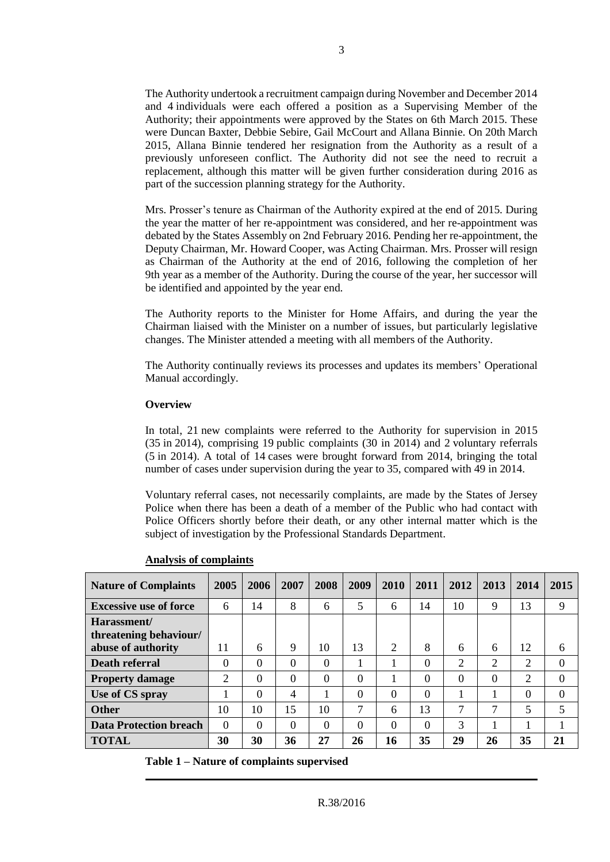The Authority undertook a recruitment campaign during November and December 2014 and 4 individuals were each offered a position as a Supervising Member of the Authority; their appointments were approved by the States on 6th March 2015. These were Duncan Baxter, Debbie Sebire, Gail McCourt and Allana Binnie. On 20th March 2015, Allana Binnie tendered her resignation from the Authority as a result of a previously unforeseen conflict. The Authority did not see the need to recruit a replacement, although this matter will be given further consideration during 2016 as part of the succession planning strategy for the Authority.

Mrs. Prosser's tenure as Chairman of the Authority expired at the end of 2015. During the year the matter of her re-appointment was considered, and her re-appointment was debated by the States Assembly on 2nd February 2016. Pending her re-appointment, the Deputy Chairman, Mr. Howard Cooper, was Acting Chairman. Mrs. Prosser will resign as Chairman of the Authority at the end of 2016, following the completion of her 9th year as a member of the Authority. During the course of the year, her successor will be identified and appointed by the year end.

The Authority reports to the Minister for Home Affairs, and during the year the Chairman liaised with the Minister on a number of issues, but particularly legislative changes. The Minister attended a meeting with all members of the Authority.

The Authority continually reviews its processes and updates its members' Operational Manual accordingly.

#### **Overview**

In total, 21 new complaints were referred to the Authority for supervision in 2015 (35 in 2014), comprising 19 public complaints (30 in 2014) and 2 voluntary referrals (5 in 2014). A total of 14 cases were brought forward from 2014, bringing the total number of cases under supervision during the year to 35, compared with 49 in 2014.

Voluntary referral cases, not necessarily complaints, are made by the States of Jersey Police when there has been a death of a member of the Public who had contact with Police Officers shortly before their death, or any other internal matter which is the subject of investigation by the Professional Standards Department.

| <b>Nature of Complaints</b>           | 2005           | 2006     | 2007     | 2008     | 2009     | <b>2010</b> | 2011     | 2012     | 2013          | 2014 | 2015     |
|---------------------------------------|----------------|----------|----------|----------|----------|-------------|----------|----------|---------------|------|----------|
| <b>Excessive use of force</b>         | 6              | 14       | 8        | 6        | 5        | 6           | 14       | 10       | 9             | 13   | 9        |
| Harassment/<br>threatening behaviour/ |                |          |          |          |          |             |          |          |               |      |          |
| abuse of authority                    | 11             | 6        | 9        | 10       | 13       | 2           | 8        | 6        | 6             | 12   | 6        |
| <b>Death referral</b>                 | $\Omega$       | $\Omega$ | $\Omega$ | $\Omega$ |          |             | $\Omega$ | 2        | 2             | 2    | $\Omega$ |
| <b>Property damage</b>                | $\overline{2}$ | 0        | $\Omega$ | $\Omega$ | $\Omega$ |             | $\Omega$ | $\Omega$ | 0             | 2    | $\theta$ |
| Use of CS spray                       |                | 0        | 4        |          | $\Omega$ | $\Omega$    | $\Omega$ |          |               | 0    | $\theta$ |
| <b>Other</b>                          | 10             | 10       | 15       | 10       | 7        | 6           | 13       | ⇁        | $\mathcal{L}$ | 5    | 5        |
| <b>Data Protection breach</b>         | $\Omega$       | $\Omega$ | $\Omega$ | $\Omega$ | $\Omega$ | $\Omega$    | $\Omega$ | 3        |               |      |          |
| <b>TOTAL</b>                          | 30             | 30       | 36       | 27       | 26       | 16          | 35       | 29       | 26            | 35   | 21       |

#### **Analysis of complaints**

**Table 1 – Nature of complaints supervised**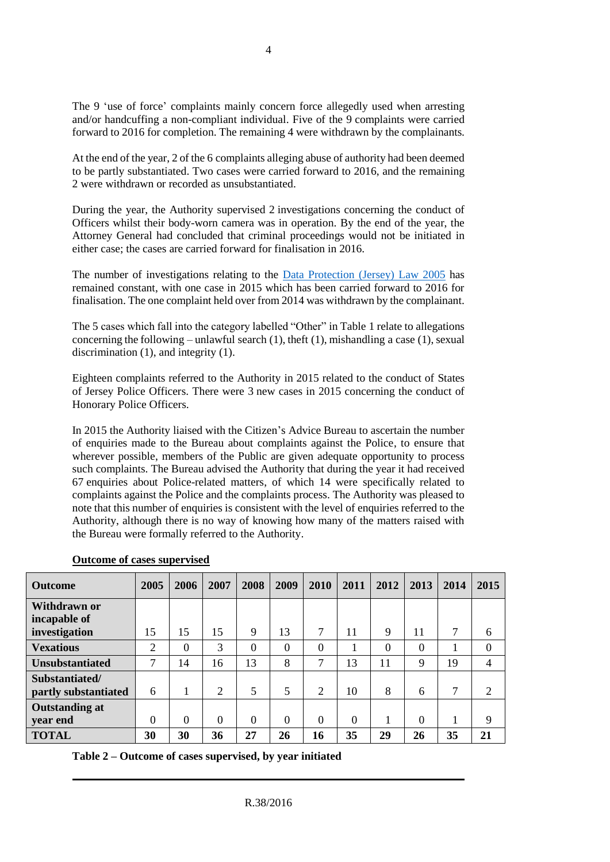The 9 'use of force' complaints mainly concern force allegedly used when arresting and/or handcuffing a non-compliant individual. Five of the 9 complaints were carried forward to 2016 for completion. The remaining 4 were withdrawn by the complainants.

At the end of the year, 2 of the 6 complaints alleging abuse of authority had been deemed to be partly substantiated. Two cases were carried forward to 2016, and the remaining 2 were withdrawn or recorded as unsubstantiated.

During the year, the Authority supervised 2 investigations concerning the conduct of Officers whilst their body-worn camera was in operation. By the end of the year, the Attorney General had concluded that criminal proceedings would not be initiated in either case; the cases are carried forward for finalisation in 2016.

The number of investigations relating to the [Data Protection \(Jersey\) Law 2005](http://www.jerseylaw.je/Law/display.aspx?url=lawsinforce%2fconsolidated%2f15%2f15.240_DataProtectionLaw2005_RevisedEdition_1January2015.htm) has remained constant, with one case in 2015 which has been carried forward to 2016 for finalisation. The one complaint held over from 2014 was withdrawn by the complainant.

The 5 cases which fall into the category labelled "Other" in Table 1 relate to allegations concerning the following – unlawful search  $(1)$ , theft  $(1)$ , mishandling a case  $(1)$ , sexual discrimination (1), and integrity (1).

Eighteen complaints referred to the Authority in 2015 related to the conduct of States of Jersey Police Officers. There were 3 new cases in 2015 concerning the conduct of Honorary Police Officers.

In 2015 the Authority liaised with the Citizen's Advice Bureau to ascertain the number of enquiries made to the Bureau about complaints against the Police, to ensure that wherever possible, members of the Public are given adequate opportunity to process such complaints. The Bureau advised the Authority that during the year it had received 67 enquiries about Police-related matters, of which 14 were specifically related to complaints against the Police and the complaints process. The Authority was pleased to note that this number of enquiries is consistent with the level of enquiries referred to the Authority, although there is no way of knowing how many of the matters raised with the Bureau were formally referred to the Authority.

| <b>Outcome</b>                         | 2005     | 2006           | 2007     | 2008     | 2009     | 2010           | 2011     | 2012 | 2013     | 2014 | 2015           |
|----------------------------------------|----------|----------------|----------|----------|----------|----------------|----------|------|----------|------|----------------|
| Withdrawn or<br>incapable of           |          |                |          |          |          |                |          |      |          |      |                |
| investigation                          | 15       | 15             | 15       | 9        | 13       | 7              | 11       | 9    | 11       | 7    | 6              |
| <b>Vexatious</b>                       | 2        | $\overline{0}$ | 3        | 0        | $\Omega$ | $\theta$       |          | 0    | $\theta$ |      | $\mathbf{0}$   |
| <b>Unsubstantiated</b>                 | 7        | 14             | 16       | 13       | 8        | 7              | 13       | 11   | 9        | 19   | $\overline{4}$ |
| Substantiated/<br>partly substantiated | 6        | 1              | 2        | 5        | 5        | $\overline{2}$ | 10       | 8    | 6        | 7    | $\overline{2}$ |
| <b>Outstanding at</b><br>year end      | $\Omega$ | $\Omega$       | $\Omega$ | $\Omega$ | $\Omega$ | $\Omega$       | $\Omega$ |      | $\theta$ |      | 9              |
| <b>TOTAL</b>                           | 30       | 30             | 36       | 27       | 26       | 16             | 35       | 29   | 26       | 35   | 21             |

# **Outcome of cases supervised**

**Table 2 – Outcome of cases supervised, by year initiated**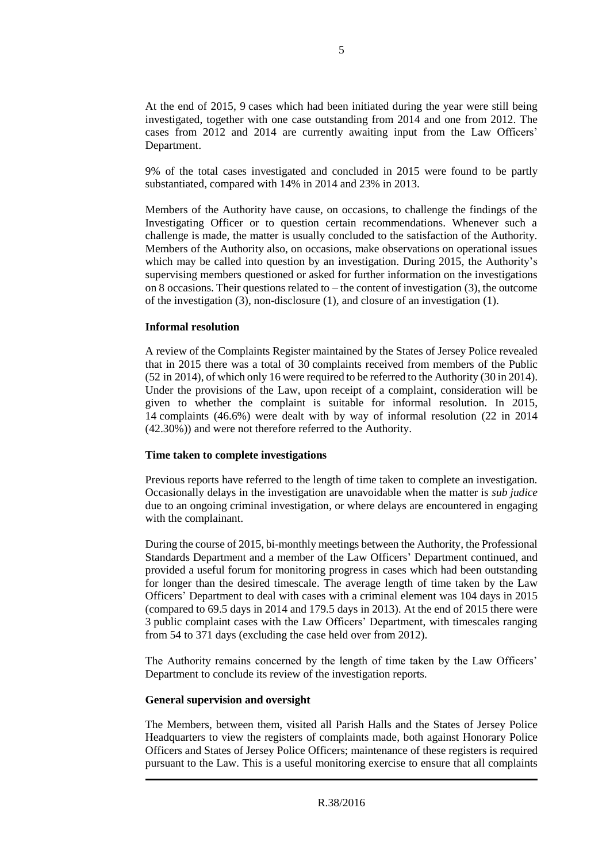At the end of 2015, 9 cases which had been initiated during the year were still being investigated, together with one case outstanding from 2014 and one from 2012. The cases from 2012 and 2014 are currently awaiting input from the Law Officers' Department.

9% of the total cases investigated and concluded in 2015 were found to be partly substantiated, compared with 14% in 2014 and 23% in 2013.

Members of the Authority have cause, on occasions, to challenge the findings of the Investigating Officer or to question certain recommendations. Whenever such a challenge is made, the matter is usually concluded to the satisfaction of the Authority. Members of the Authority also, on occasions, make observations on operational issues which may be called into question by an investigation. During 2015, the Authority's supervising members questioned or asked for further information on the investigations on 8 occasions. Their questions related to – the content of investigation (3), the outcome of the investigation (3), non-disclosure (1), and closure of an investigation (1).

#### **Informal resolution**

A review of the Complaints Register maintained by the States of Jersey Police revealed that in 2015 there was a total of 30 complaints received from members of the Public (52 in 2014), of which only 16 were required to be referred to the Authority (30 in 2014). Under the provisions of the Law, upon receipt of a complaint, consideration will be given to whether the complaint is suitable for informal resolution. In 2015, 14 complaints (46.6%) were dealt with by way of informal resolution (22 in 2014 (42.30%)) and were not therefore referred to the Authority.

#### **Time taken to complete investigations**

Previous reports have referred to the length of time taken to complete an investigation. Occasionally delays in the investigation are unavoidable when the matter is *sub judice* due to an ongoing criminal investigation, or where delays are encountered in engaging with the complainant.

During the course of 2015, bi-monthly meetings between the Authority, the Professional Standards Department and a member of the Law Officers' Department continued, and provided a useful forum for monitoring progress in cases which had been outstanding for longer than the desired timescale. The average length of time taken by the Law Officers' Department to deal with cases with a criminal element was 104 days in 2015 (compared to 69.5 days in 2014 and 179.5 days in 2013). At the end of 2015 there were 3 public complaint cases with the Law Officers' Department, with timescales ranging from 54 to 371 days (excluding the case held over from 2012).

The Authority remains concerned by the length of time taken by the Law Officers' Department to conclude its review of the investigation reports.

#### **General supervision and oversight**

The Members, between them, visited all Parish Halls and the States of Jersey Police Headquarters to view the registers of complaints made, both against Honorary Police Officers and States of Jersey Police Officers; maintenance of these registers is required pursuant to the Law. This is a useful monitoring exercise to ensure that all complaints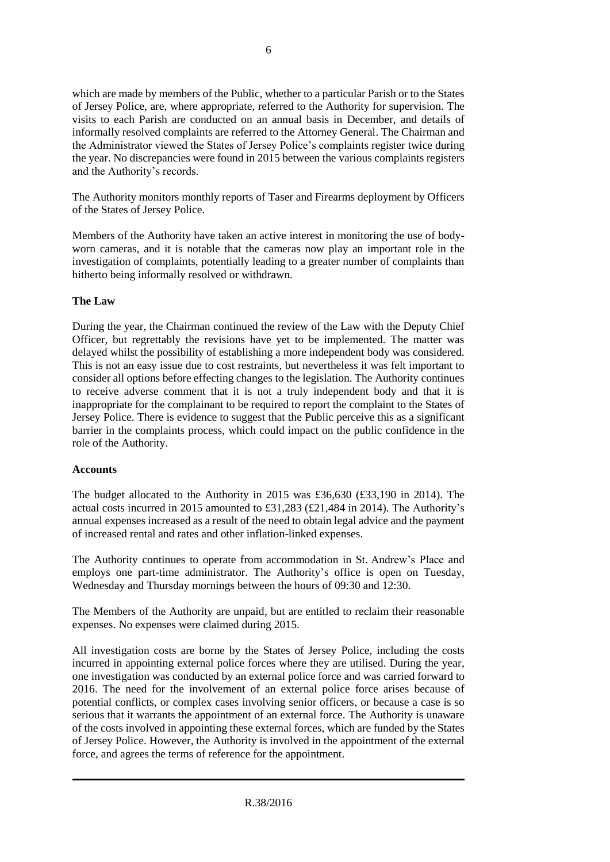which are made by members of the Public, whether to a particular Parish or to the States of Jersey Police, are, where appropriate, referred to the Authority for supervision. The visits to each Parish are conducted on an annual basis in December, and details of informally resolved complaints are referred to the Attorney General. The Chairman and the Administrator viewed the States of Jersey Police's complaints register twice during the year. No discrepancies were found in 2015 between the various complaints registers and the Authority's records.

The Authority monitors monthly reports of Taser and Firearms deployment by Officers of the States of Jersey Police.

Members of the Authority have taken an active interest in monitoring the use of bodyworn cameras, and it is notable that the cameras now play an important role in the investigation of complaints, potentially leading to a greater number of complaints than hitherto being informally resolved or withdrawn.

#### **The Law**

During the year, the Chairman continued the review of the Law with the Deputy Chief Officer, but regrettably the revisions have yet to be implemented. The matter was delayed whilst the possibility of establishing a more independent body was considered. This is not an easy issue due to cost restraints, but nevertheless it was felt important to consider all options before effecting changes to the legislation. The Authority continues to receive adverse comment that it is not a truly independent body and that it is inappropriate for the complainant to be required to report the complaint to the States of Jersey Police. There is evidence to suggest that the Public perceive this as a significant barrier in the complaints process, which could impact on the public confidence in the role of the Authority.

# **Accounts**

The budget allocated to the Authority in 2015 was £36,630 (£33,190 in 2014). The actual costs incurred in 2015 amounted to £31,283 (£21,484 in 2014). The Authority's annual expenses increased as a result of the need to obtain legal advice and the payment of increased rental and rates and other inflation-linked expenses.

The Authority continues to operate from accommodation in St. Andrew's Place and employs one part-time administrator. The Authority's office is open on Tuesday, Wednesday and Thursday mornings between the hours of 09:30 and 12:30.

The Members of the Authority are unpaid, but are entitled to reclaim their reasonable expenses. No expenses were claimed during 2015.

All investigation costs are borne by the States of Jersey Police, including the costs incurred in appointing external police forces where they are utilised. During the year, one investigation was conducted by an external police force and was carried forward to 2016. The need for the involvement of an external police force arises because of potential conflicts, or complex cases involving senior officers, or because a case is so serious that it warrants the appointment of an external force. The Authority is unaware of the costs involved in appointing these external forces, which are funded by the States of Jersey Police. However, the Authority is involved in the appointment of the external force, and agrees the terms of reference for the appointment.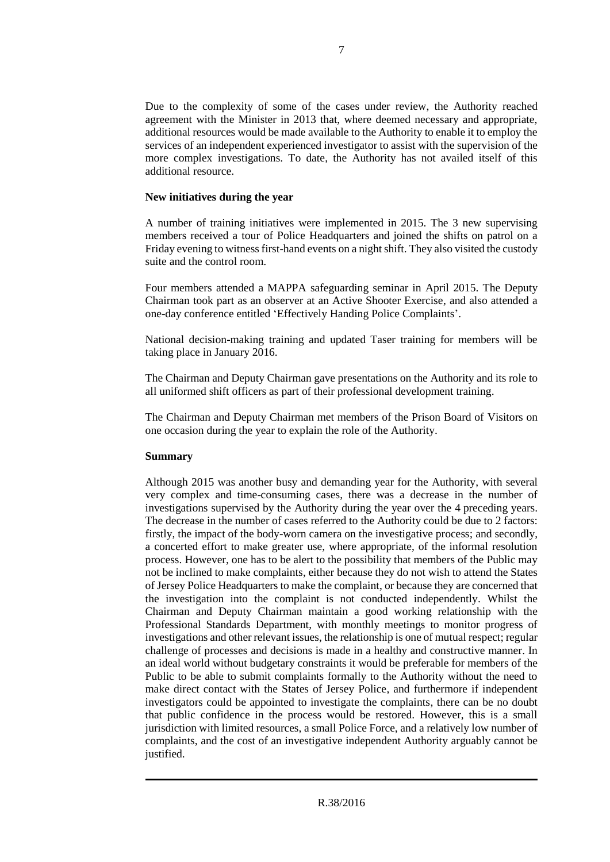Due to the complexity of some of the cases under review, the Authority reached agreement with the Minister in 2013 that, where deemed necessary and appropriate, additional resources would be made available to the Authority to enable it to employ the services of an independent experienced investigator to assist with the supervision of the more complex investigations. To date, the Authority has not availed itself of this additional resource.

#### **New initiatives during the year**

A number of training initiatives were implemented in 2015. The 3 new supervising members received a tour of Police Headquarters and joined the shifts on patrol on a Friday evening to witness first-hand events on a night shift. They also visited the custody suite and the control room.

Four members attended a MAPPA safeguarding seminar in April 2015. The Deputy Chairman took part as an observer at an Active Shooter Exercise, and also attended a one-day conference entitled 'Effectively Handing Police Complaints'.

National decision-making training and updated Taser training for members will be taking place in January 2016.

The Chairman and Deputy Chairman gave presentations on the Authority and its role to all uniformed shift officers as part of their professional development training.

The Chairman and Deputy Chairman met members of the Prison Board of Visitors on one occasion during the year to explain the role of the Authority.

# **Summary**

Although 2015 was another busy and demanding year for the Authority, with several very complex and time-consuming cases, there was a decrease in the number of investigations supervised by the Authority during the year over the 4 preceding years. The decrease in the number of cases referred to the Authority could be due to 2 factors: firstly, the impact of the body-worn camera on the investigative process; and secondly, a concerted effort to make greater use, where appropriate, of the informal resolution process. However, one has to be alert to the possibility that members of the Public may not be inclined to make complaints, either because they do not wish to attend the States of Jersey Police Headquarters to make the complaint, or because they are concerned that the investigation into the complaint is not conducted independently. Whilst the Chairman and Deputy Chairman maintain a good working relationship with the Professional Standards Department, with monthly meetings to monitor progress of investigations and other relevant issues, the relationship is one of mutual respect; regular challenge of processes and decisions is made in a healthy and constructive manner. In an ideal world without budgetary constraints it would be preferable for members of the Public to be able to submit complaints formally to the Authority without the need to make direct contact with the States of Jersey Police, and furthermore if independent investigators could be appointed to investigate the complaints, there can be no doubt that public confidence in the process would be restored. However, this is a small jurisdiction with limited resources, a small Police Force, and a relatively low number of complaints, and the cost of an investigative independent Authority arguably cannot be justified.